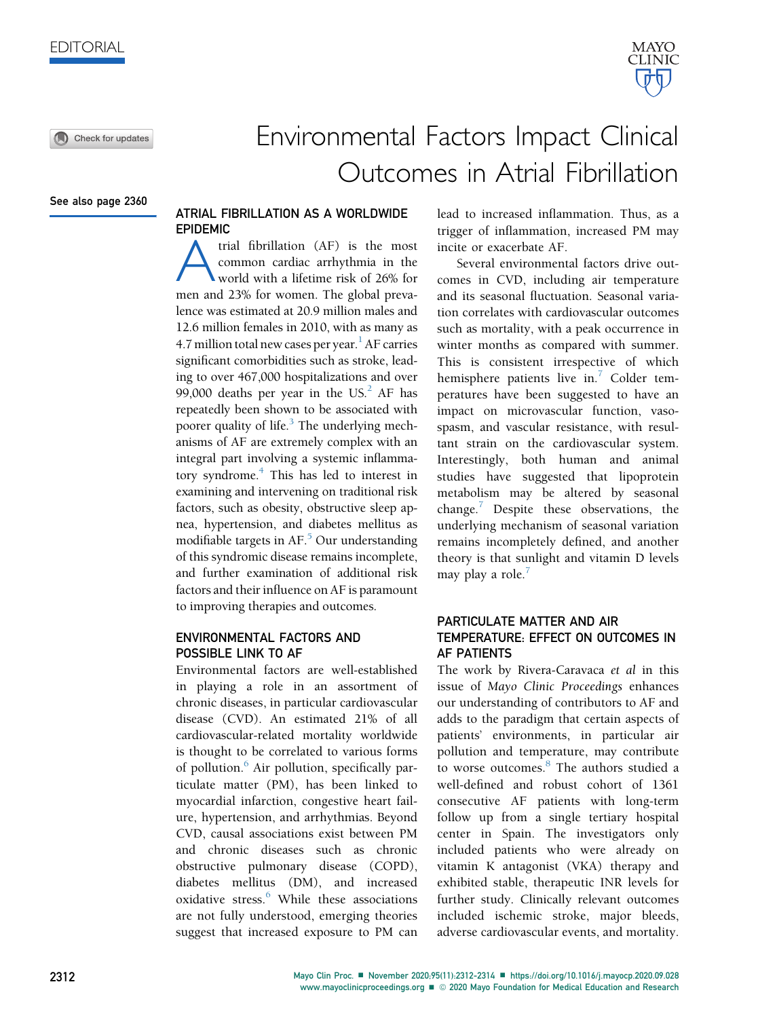Check for updates

See also page 2360

# Environmental Factors Impact Clinical Outcomes in Atrial Fibrillation

# ATRIAL FIBRILLATION AS A WORLDWIDE EPIDEMIC

trial fibrillation (AF) is the most common cardiac arrhythmia in the world with a lifetime risk of 26% for men and 23% for women. The global prevalence was estimated at 20.9 million males and 12.6 million females in 2010, with as many as 4.7 million total new cases per year.<sup>1</sup> AF carries significant comorbidities such as stroke, leading to over 467,000 hospitalizations and over 99,000 deaths per year in the US. $^{2}$  AF has repeatedly been shown to be associated with poorer quality of life.<sup>[3](#page-2-2)</sup> The underlying mechanisms of AF are extremely complex with an integral part involving a systemic inflamma-tory syndrome.<sup>[4](#page-2-3)</sup> This has led to interest in examining and intervening on traditional risk factors, such as obesity, obstructive sleep apnea, hypertension, and diabetes mellitus as modifiable targets in  $AF<sup>5</sup>$  $AF<sup>5</sup>$  $AF<sup>5</sup>$  Our understanding of this syndromic disease remains incomplete, and further examination of additional risk factors and their influence on AF is paramount to improving therapies and outcomes.

### ENVIRONMENTAL FACTORS AND POSSIBLE LINK TO AF

Environmental factors are well-established in playing a role in an assortment of chronic diseases, in particular cardiovascular disease (CVD). An estimated 21% of all cardiovascular-related mortality worldwide is thought to be correlated to various forms of pollution.<sup>[6](#page-2-5)</sup> Air pollution, specifically particulate matter (PM), has been linked to myocardial infarction, congestive heart failure, hypertension, and arrhythmias. Beyond CVD, causal associations exist between PM and chronic diseases such as chronic obstructive pulmonary disease (COPD), diabetes mellitus (DM), and increased oxidative stress.<sup>[6](#page-2-5)</sup> While these associations are not fully understood, emerging theories suggest that increased exposure to PM can lead to increased inflammation. Thus, as a trigger of inflammation, increased PM may incite or exacerbate AF.

Several environmental factors drive outcomes in CVD, including air temperature and its seasonal fluctuation. Seasonal variation correlates with cardiovascular outcomes such as mortality, with a peak occurrence in winter months as compared with summer. This is consistent irrespective of which hemisphere patients live in.<sup>[7](#page-2-6)</sup> Colder temperatures have been suggested to have an impact on microvascular function, vasospasm, and vascular resistance, with resultant strain on the cardiovascular system. Interestingly, both human and animal studies have suggested that lipoprotein metabolism may be altered by seasonal change. $\sqrt{ }$  Despite these observations, the underlying mechanism of seasonal variation remains incompletely defined, and another theory is that sunlight and vitamin D levels may play a role. $<sup>7</sup>$  $<sup>7</sup>$  $<sup>7</sup>$ </sup>

# PARTICULATE MATTER AND AIR TEMPERATURE: EFFECT ON OUTCOMES IN AF PATIENTS

The work by Rivera-Caravaca et al in this issue of Mayo Clinic Proceedings enhances our understanding of contributors to AF and adds to the paradigm that certain aspects of patients' environments, in particular air pollution and temperature, may contribute to worse outcomes.<sup>[8](#page-2-7)</sup> The authors studied a well-defined and robust cohort of 1361 consecutive AF patients with long-term follow up from a single tertiary hospital center in Spain. The investigators only included patients who were already on vitamin K antagonist (VKA) therapy and exhibited stable, therapeutic INR levels for further study. Clinically relevant outcomes included ischemic stroke, major bleeds, adverse cardiovascular events, and mortality.

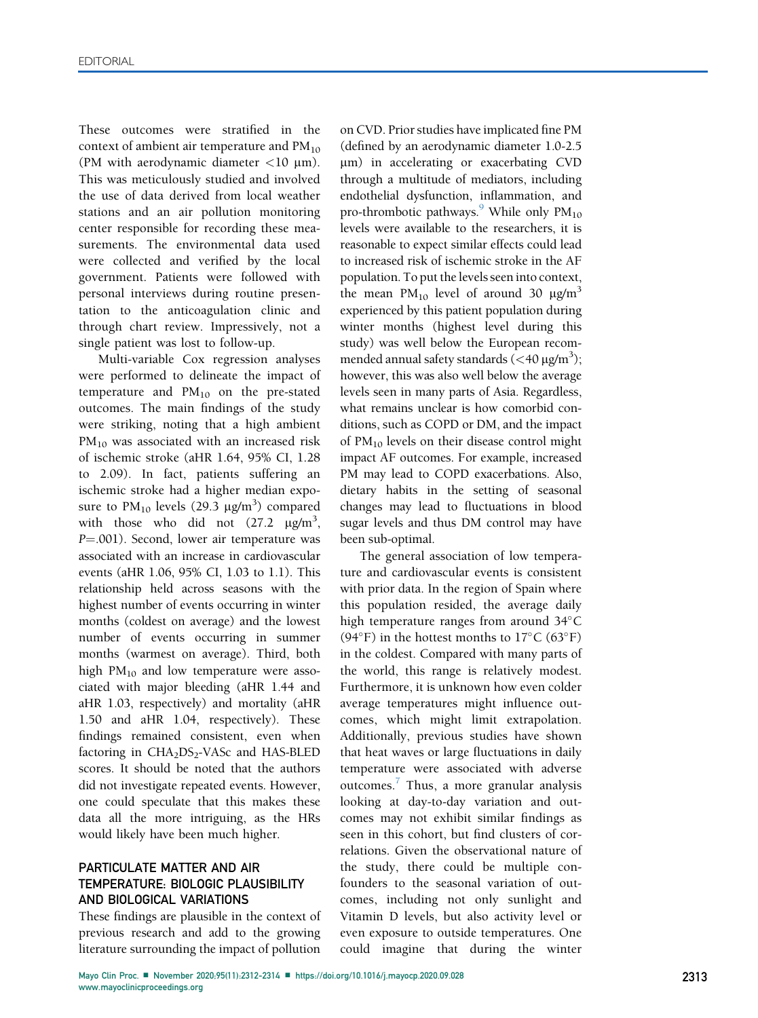These outcomes were stratified in the context of ambient air temperature and  $PM_{10}$ (PM with aerodynamic diameter  $\langle 10 \text{ }\mu \text{m} \rangle$ . This was meticulously studied and involved the use of data derived from local weather stations and an air pollution monitoring center responsible for recording these measurements. The environmental data used were collected and verified by the local government. Patients were followed with personal interviews during routine presentation to the anticoagulation clinic and through chart review. Impressively, not a single patient was lost to follow-up.

Multi-variable Cox regression analyses were performed to delineate the impact of temperature and  $PM_{10}$  on the pre-stated outcomes. The main findings of the study were striking, noting that a high ambient PM<sub>10</sub> was associated with an increased risk of ischemic stroke (aHR 1.64, 95% CI, 1.28 to 2.09). In fact, patients suffering an ischemic stroke had a higher median exposure to  $PM_{10}$  levels (29.3  $\mu$ g/m<sup>3</sup>) compared with those who did not  $(27.2 \text{ }\mu\text{g/m}^3,$ P=.001). Second, lower air temperature was associated with an increase in cardiovascular events (aHR 1.06, 95% CI, 1.03 to 1.1). This relationship held across seasons with the highest number of events occurring in winter months (coldest on average) and the lowest number of events occurring in summer months (warmest on average). Third, both high  $PM_{10}$  and low temperature were associated with major bleeding (aHR 1.44 and aHR 1.03, respectively) and mortality (aHR 1.50 and aHR 1.04, respectively). These findings remained consistent, even when factoring in CHA<sub>2</sub>DS<sub>2</sub>-VASc and HAS-BLED scores. It should be noted that the authors did not investigate repeated events. However, one could speculate that this makes these data all the more intriguing, as the HRs would likely have been much higher.

# PARTICULATE MATTER AND AIR TEMPERATURE: BIOLOGIC PLAUSIBILITY AND BIOLOGICAL VARIATIONS

These findings are plausible in the context of previous research and add to the growing literature surrounding the impact of pollution

on CVD. Prior studies have implicated fine PM (defined by an aerodynamic diameter 1.0-2.5 mm) in accelerating or exacerbating CVD through a multitude of mediators, including endothelial dysfunction, inflammation, and pro-thrombotic pathways.<sup>9</sup> While only  $PM_{10}$ levels were available to the researchers, it is reasonable to expect similar effects could lead to increased risk of ischemic stroke in the AF population. To put the levels seen into context, the mean  $PM_{10}$  level of around 30  $\mu g/m^3$ experienced by this patient population during winter months (highest level during this study) was well below the European recommended annual safety standards (<40  $\mu$ g/m<sup>3</sup>); however, this was also well below the average levels seen in many parts of Asia. Regardless, what remains unclear is how comorbid conditions, such as COPD or DM, and the impact of PM10 levels on their disease control might impact AF outcomes. For example, increased PM may lead to COPD exacerbations. Also, dietary habits in the setting of seasonal changes may lead to fluctuations in blood sugar levels and thus DM control may have been sub-optimal.

The general association of low temperature and cardiovascular events is consistent with prior data. In the region of Spain where this population resided, the average daily high temperature ranges from around 34°C  $(94^{\circ}F)$  in the hottest months to  $17^{\circ}C(63^{\circ}F)$ in the coldest. Compared with many parts of the world, this range is relatively modest. Furthermore, it is unknown how even colder average temperatures might influence outcomes, which might limit extrapolation. Additionally, previous studies have shown that heat waves or large fluctuations in daily temperature were associated with adverse outcomes.<sup>[7](#page-2-6)</sup> Thus, a more granular analysis looking at day-to-day variation and outcomes may not exhibit similar findings as seen in this cohort, but find clusters of correlations. Given the observational nature of the study, there could be multiple confounders to the seasonal variation of outcomes, including not only sunlight and Vitamin D levels, but also activity level or even exposure to outside temperatures. One could imagine that during the winter